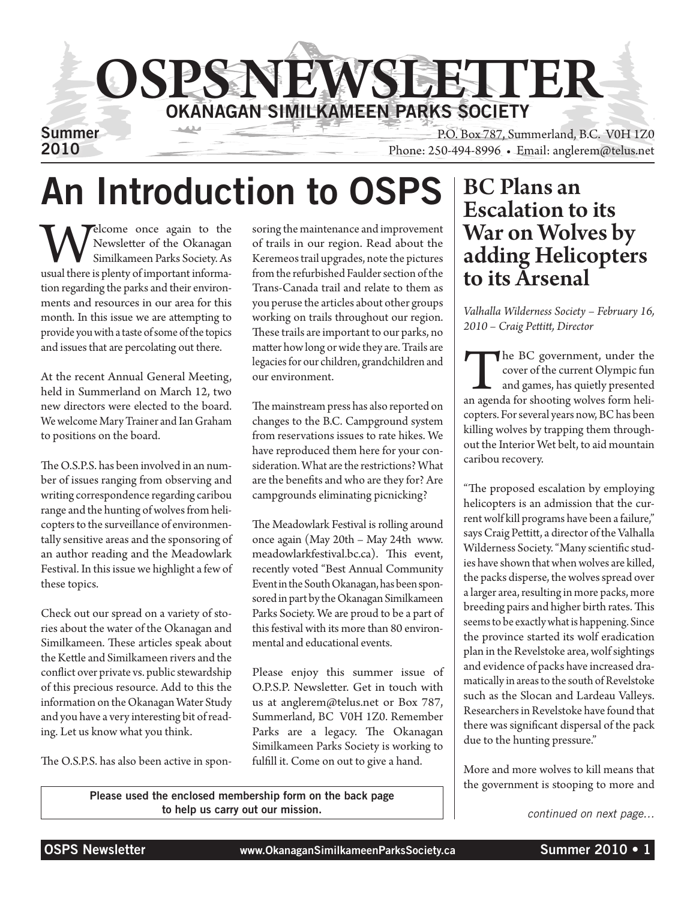

# An Introduction to OSPS BC Plans an

Welcome once again to the Newsletter of the Okanagan Similkameen Parks Society. As usual there is plenty of important informa-Newsletter of the Okanagan Similkameen Parks Society. As tion regarding the parks and their environments and resources in our area for this month. In this issue we are attempting to provide you with a taste of some of the topics and issues that are percolating out there.

At the recent Annual General Meeting, held in Summerland on March 12, two new directors were elected to the board. We welcome Mary Trainer and Ian Graham to positions on the board.

The O.S.P.S. has been involved in an number of issues ranging from observing and writing correspondence regarding caribou range and the hunting of wolves from helicopters to the surveillance of environmentally sensitive areas and the sponsoring of an author reading and the Meadowlark Festival. In this issue we highlight a few of these topics.

Check out our spread on a variety of stories about the water of the Okanagan and Similkameen. These articles speak about the Kettle and Similkameen rivers and the conflict over private vs. public stewardship of this precious resource. Add to this the information on the Okanagan Water Study and you have a very interesting bit of reading. Let us know what you think.

The O.S.P.S. has also been active in spon-

soring the maintenance and improvement of trails in our region. Read about the Keremeos trail upgrades, note the pictures from the refurbished Faulder section of the Trans-Canada trail and relate to them as you peruse the articles about other groups working on trails throughout our region. These trails are important to our parks, no matter how long or wide they are. Trails are legacies for our children, grandchildren and our environment.

The mainstream press has also reported on changes to the B.C. Campground system from reservations issues to rate hikes. We have reproduced them here for your consideration. What are the restrictions? What are the benefits and who are they for? Are campgrounds eliminating picnicking?

The Meadowlark Festival is rolling around once again (May 20th – May 24th www. meadowlarkfestival.bc.ca). This event, recently voted "Best Annual Community Event in the South Okanagan, has been sponsored in part by the Okanagan Similkameen Parks Society. We are proud to be a part of this festival with its more than 80 environmental and educational events.

Please enjoy this summer issue of O.P.S.P. Newsletter. Get in touch with us at anglerem@telus.net or Box 787, Summerland, BC V0H 1Z0. Remember Parks are a legacy. The Okanagan Similkameen Parks Society is working to fulfill it. Come on out to give a hand.

## Escalation to its War on Wolves by adding Helicopters to its Arsenal

*Valhalla Wilderness Society – February 16, 2010 – Craig Pettitt, Director*

The BC government, under the cover of the current Olympic fun<br>and games, has quietly presented<br>an agenda for shooting wolves form helicover of the current Olympic fun and games, has quietly presented copters. For several years now, BC has been killing wolves by trapping them throughout the Interior Wet belt, to aid mountain caribou recovery.

"The proposed escalation by employing helicopters is an admission that the current wolf kill programs have been a failure," says Craig Pettitt, a director of the Valhalla Wilderness Society. "Many scientific studies have shown that when wolves are killed, the packs disperse, the wolves spread over a larger area, resulting in more packs, more breeding pairs and higher birth rates. This seems to be exactly what is happening. Since the province started its wolf eradication plan in the Revelstoke area, wolf sightings and evidence of packs have increased dramatically in areas to the south of Revelstoke such as the Slocan and Lardeau Valleys. Researchers in Revelstoke have found that there was significant dispersal of the pack due to the hunting pressure."

More and more wolves to kill means that the government is stooping to more and

*continued on next page…*

Please used the enclosed membership form on the back page to help us carry out our mission.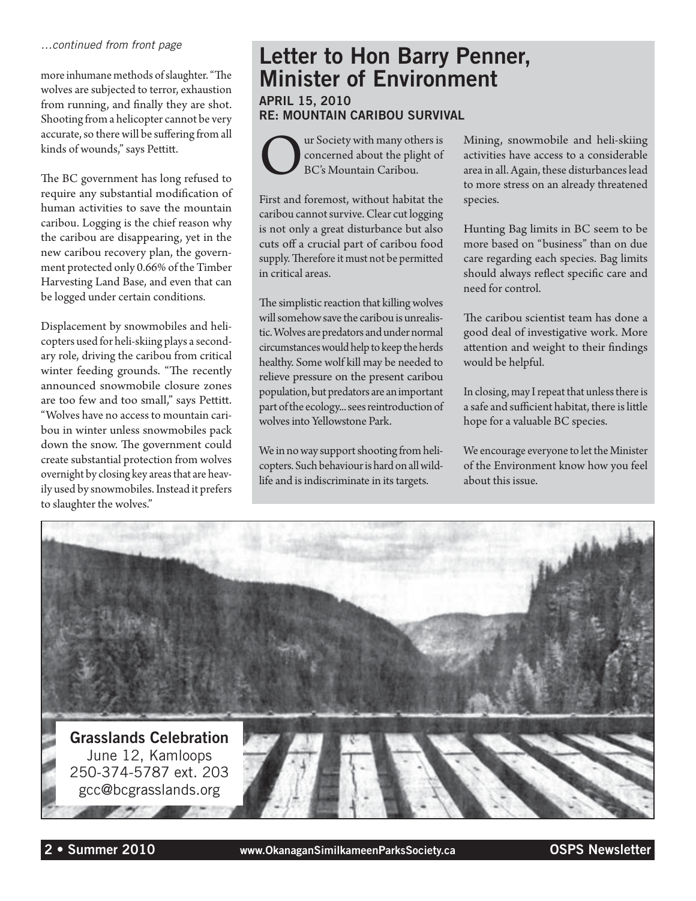#### *…continued from front page*

more inhumane methods of slaughter. "The wolves are subjected to terror, exhaustion from running, and finally they are shot. Shooting from a helicopter cannot be very accurate, so there will be suffering from all kinds of wounds," says Pettitt.

The BC government has long refused to require any substantial modification of human activities to save the mountain caribou. Logging is the chief reason why the caribou are disappearing, yet in the new caribou recovery plan, the government protected only 0.66% of the Timber Harvesting Land Base, and even that can be logged under certain conditions.

Displacement by snowmobiles and helicopters used for heli-skiing plays a secondary role, driving the caribou from critical winter feeding grounds. "The recently announced snowmobile closure zones are too few and too small," says Pettitt. "Wolves have no access to mountain caribou in winter unless snowmobiles pack down the snow. The government could create substantial protection from wolves overnight by closing key areas that are heavily used by snowmobiles. Instead it prefers to slaughter the wolves."

#### Letter to Hon Barry Penner, Minister of Environment April 15, 2010 Re: Mountain Caribou Survival

Our Society with many others is<br>concerned about the plight of<br>BC's Mountain Caribou. concerned about the plight of BC's Mountain Caribou.

First and foremost, without habitat the caribou cannot survive. Clear cut logging is not only a great disturbance but also cuts off a crucial part of caribou food supply. Therefore it must not be permitted in critical areas.

The simplistic reaction that killing wolves will somehow save the caribou is unrealistic. Wolves are predators and under normal circumstances would help to keep the herds healthy. Some wolf kill may be needed to relieve pressure on the present caribou population, but predators are an important part of the ecology... sees reintroduction of wolves into Yellowstone Park.

We in no way support shooting from helicopters. Such behaviour is hard on all wildlife and is indiscriminate in its targets.

Mining, snowmobile and heli-skiing activities have access to a considerable area in all. Again, these disturbances lead to more stress on an already threatened species.

Hunting Bag limits in BC seem to be more based on "business" than on due care regarding each species. Bag limits should always reflect specific care and need for control.

The caribou scientist team has done a good deal of investigative work. More attention and weight to their findings would be helpful.

In closing, may I repeat that unless there is a safe and sufficient habitat, there is little hope for a valuable BC species.

We encourage everyone to let the Minister of the Environment know how you feel about this issue.

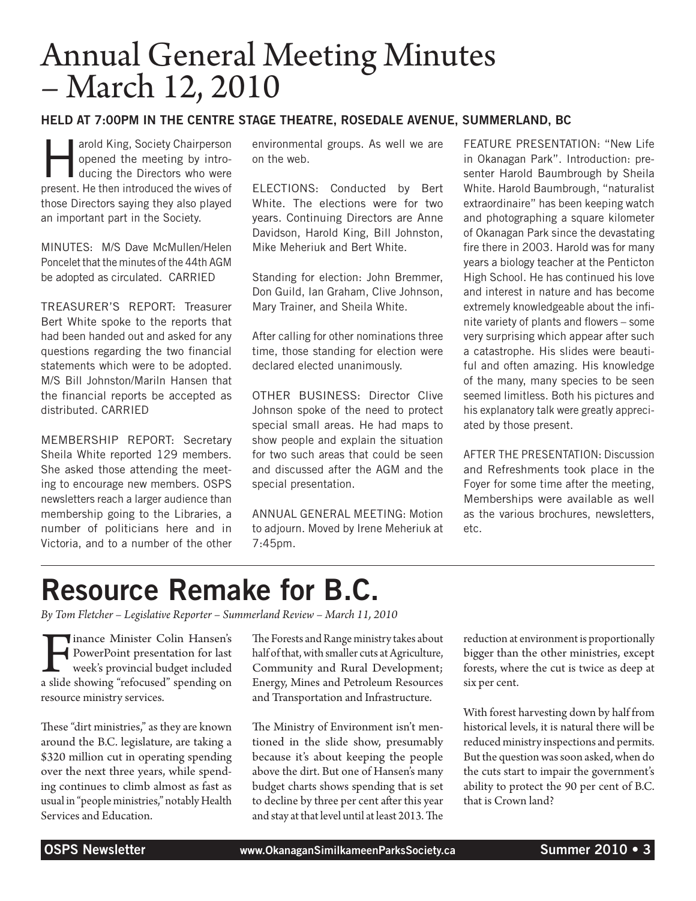# Annual General Meeting Minutes – March 12, 2010

#### Held at 7:00pm in the Centre Stage Theatre, Rosedale Avenue, Summerland, BC

arold King, Society Chairperson<br>opened the meeting by intro-<br>ducing the Directors who were opened the meeting by introducing the Directors who were present. He then introduced the wives of those Directors saying they also played an important part in the Society.

MINUTES: M/S Dave McMullen/Helen Poncelet that the minutes of the 44th AGM be adopted as circulated. CARRIED

TREASURER'S REPORT: Treasurer Bert White spoke to the reports that had been handed out and asked for any questions regarding the two financial statements which were to be adopted. M/S Bill Johnston/Mariln Hansen that the financial reports be accepted as distributed. CARRIED

MEMBERSHIP REPORT: Secretary Sheila White reported 129 members. She asked those attending the meeting to encourage new members. OSPS newsletters reach a larger audience than membership going to the Libraries, a number of politicians here and in Victoria, and to a number of the other

environmental groups. As well we are on the web.

ELECTIONS: Conducted by Bert White. The elections were for two years. Continuing Directors are Anne Davidson, Harold King, Bill Johnston, Mike Meheriuk and Bert White.

Standing for election: John Bremmer, Don Guild, Ian Graham, Clive Johnson, Mary Trainer, and Sheila White.

After calling for other nominations three time, those standing for election were declared elected unanimously.

OTHER BUSINESS: Director Clive Johnson spoke of the need to protect special small areas. He had maps to show people and explain the situation for two such areas that could be seen and discussed after the AGM and the special presentation.

ANNUAL GENERAL MEETING: Motion to adjourn. Moved by Irene Meheriuk at 7:45pm.

FEATURE PRESENTATION: "New Life in Okanagan Park". Introduction: presenter Harold Baumbrough by Sheila White. Harold Baumbrough, "naturalist extraordinaire" has been keeping watch and photographing a square kilometer of Okanagan Park since the devastating fire there in 2003. Harold was for many years a biology teacher at the Penticton High School. He has continued his love and interest in nature and has become extremely knowledgeable about the infinite variety of plants and flowers – some very surprising which appear after such a catastrophe. His slides were beautiful and often amazing. His knowledge of the many, many species to be seen seemed limitless. Both his pictures and his explanatory talk were greatly appreciated by those present.

AFTER THE PRESENTATION: Discussion and Refreshments took place in the Foyer for some time after the meeting, Memberships were available as well as the various brochures, newsletters, etc.

# Resource Remake for B.C.

*By Tom Fletcher – Legislative Reporter – Summerland Review – March 11, 2010*

Finance Minister Colin Hansen's<br>
PowerPoint presentation for last<br>
week's provincial budget included<br>
a slide showing "refocused" spending on PowerPoint presentation for last week's provincial budget included resource ministry services.

These "dirt ministries," as they are known around the B.C. legislature, are taking a \$320 million cut in operating spending over the next three years, while spending continues to climb almost as fast as usual in "people ministries," notably Health Services and Education.

The Forests and Range ministry takes about half of that, with smaller cuts at Agriculture, Community and Rural Development; Energy, Mines and Petroleum Resources and Transportation and Infrastructure.

The Ministry of Environment isn't mentioned in the slide show, presumably because it's about keeping the people above the dirt. But one of Hansen's many budget charts shows spending that is set to decline by three per cent after this year and stay at that level until at least 2013. The reduction at environment is proportionally bigger than the other ministries, except forests, where the cut is twice as deep at six per cent.

With forest harvesting down by half from historical levels, it is natural there will be reduced ministry inspections and permits. But the question was soon asked, when do the cuts start to impair the government's ability to protect the 90 per cent of B.C. that is Crown land?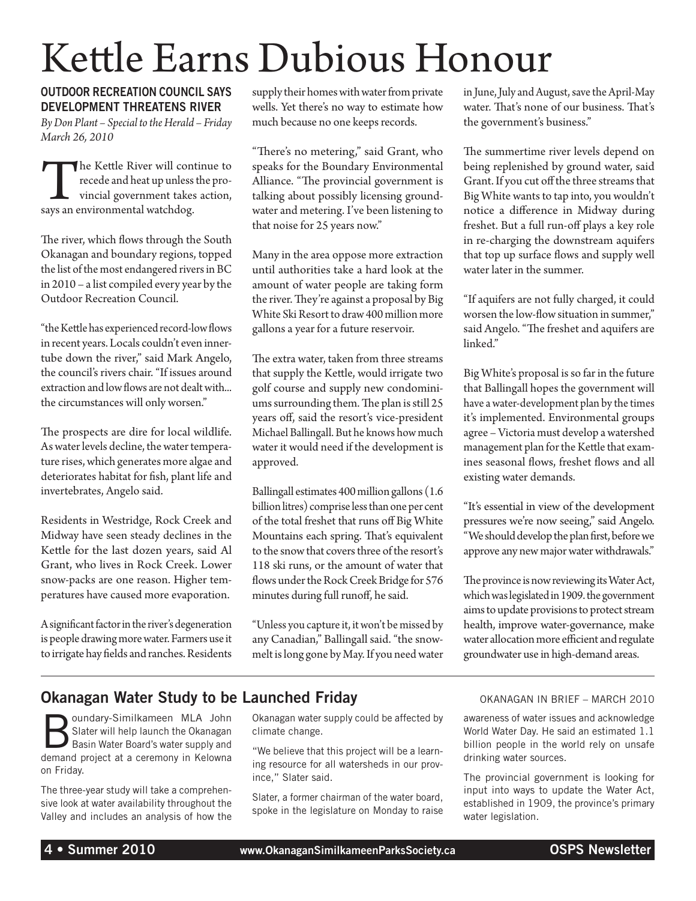# Kettle Earns Dubious Honour

#### Outdoor Recreation Council says Development Threatens River

*By Don Plant – Special to the Herald – Friday March 26, 2010*

The Kettle River will continue to<br>recede and heat up unless the pro-<br>vincial government takes action,<br>says an environmental watchdog. recede and heat up unless the provincial government takes action, says an environmental watchdog.

The river, which flows through the South Okanagan and boundary regions, topped the list of the most endangered rivers in BC in 2010 – a list compiled every year by the Outdoor Recreation Council.

"the Kettle has experienced record-low flows in recent years. Locals couldn't even innertube down the river," said Mark Angelo, the council's rivers chair. "If issues around extraction and low flows are not dealt with... the circumstances will only worsen."

The prospects are dire for local wildlife. As water levels decline, the water temperature rises, which generates more algae and deteriorates habitat for fish, plant life and invertebrates, Angelo said.

Residents in Westridge, Rock Creek and Midway have seen steady declines in the Kettle for the last dozen years, said Al Grant, who lives in Rock Creek. Lower snow-packs are one reason. Higher temperatures have caused more evaporation.

A significant factor in the river's degeneration is people drawing more water. Farmers use it to irrigate hay fields and ranches. Residents supply their homes with water from private wells. Yet there's no way to estimate how much because no one keeps records.

"There's no metering," said Grant, who speaks for the Boundary Environmental Alliance. "The provincial government is talking about possibly licensing groundwater and metering. I've been listening to that noise for 25 years now."

Many in the area oppose more extraction until authorities take a hard look at the amount of water people are taking form the river. They're against a proposal by Big White Ski Resort to draw 400 million more gallons a year for a future reservoir.

The extra water, taken from three streams that supply the Kettle, would irrigate two golf course and supply new condominiums surrounding them. The plan is still 25 years off, said the resort's vice-president Michael Ballingall. But he knows how much water it would need if the development is approved.

Ballingall estimates 400 million gallons (1.6 billion litres) comprise less than one per cent of the total freshet that runs off Big White Mountains each spring. That's equivalent to the snow that covers three of the resort's 118 ski runs, or the amount of water that flows under the Rock Creek Bridge for 576 minutes during full runoff, he said.

"Unless you capture it, it won't be missed by any Canadian," Ballingall said. "the snowmelt is long gone by May. If you need water in June, July and August, save the April-May water. That's none of our business. That's the government's business."

The summertime river levels depend on being replenished by ground water, said Grant. If you cut off the three streams that Big White wants to tap into, you wouldn't notice a difference in Midway during freshet. But a full run-off plays a key role in re-charging the downstream aquifers that top up surface flows and supply well water later in the summer.

"If aquifers are not fully charged, it could worsen the low-flow situation in summer," said Angelo. "The freshet and aquifers are linked."

Big White's proposal is so far in the future that Ballingall hopes the government will have a water-development plan by the times it's implemented. Environmental groups agree – Victoria must develop a watershed management plan for the Kettle that examines seasonal flows, freshet flows and all existing water demands.

"It's essential in view of the development pressures we're now seeing," said Angelo. "We should develop the plan first, before we approve any new major water withdrawals."

The province is now reviewing its Water Act, which was legislated in 1909. the government aims to update provisions to protect stream health, improve water-governance, make water allocation more efficient and regulate groundwater use in high-demand areas.

#### **Okanagan Water Study to be Launched Friday Canagan In Brief – MARCH 2010** OKANAGAN IN BRIEF – MARCH 2010

**Boundary-Similkameen MLA John<br>
Basin Water Board's water supply and<br>
demonder and Solution School School School School School School School School** Slater will help launch the Okanagan demand project at a ceremony in Kelowna on Friday.

The three-year study will take a comprehensive look at water availability throughout the Valley and includes an analysis of how the

Okanagan water supply could be affected by climate change.

"We believe that this project will be a learning resource for all watersheds in our province," Slater said.

Slater, a former chairman of the water board, spoke in the legislature on Monday to raise

awareness of water issues and acknowledge World Water Day. He said an estimated 1.1 billion people in the world rely on unsafe drinking water sources.

The provincial government is looking for input into ways to update the Water Act, established in 1909, the province's primary water legislation.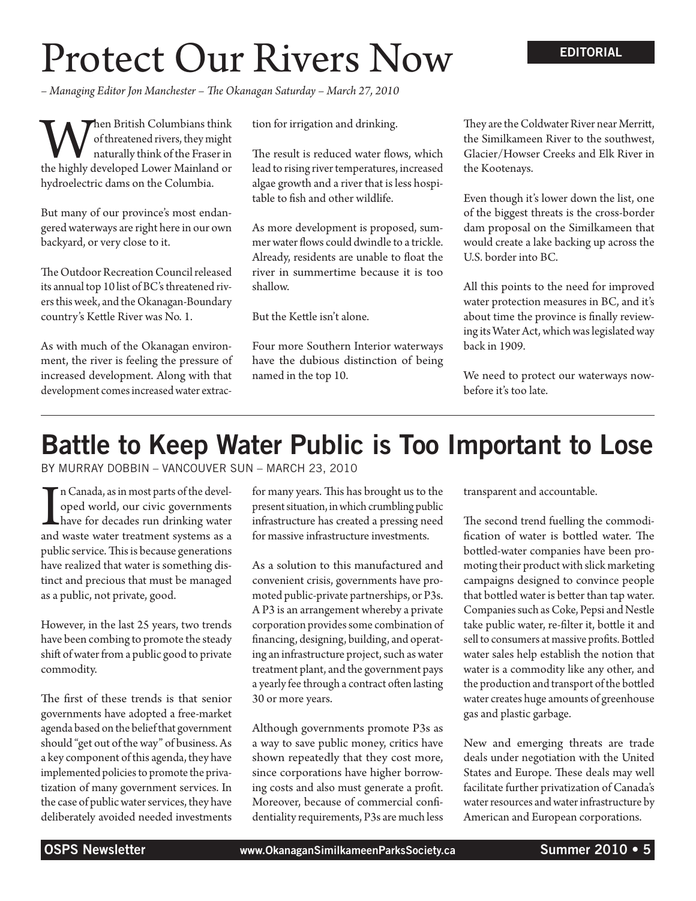# Protect Our Rivers Now

*– Managing Editor Jon Manchester – The Okanagan Saturday – March 27, 2010*

**When British Columbians think**<br>
of threatened rivers, they might<br>
the highly developed Lower Mainland or of threatened rivers, they might naturally think of the Fraser in hydroelectric dams on the Columbia.

But many of our province's most endangered waterways are right here in our own backyard, or very close to it.

The Outdoor Recreation Council released its annual top 10 list of BC's threatened rivers this week, and the Okanagan-Boundary country's Kettle River was No. 1.

As with much of the Okanagan environment, the river is feeling the pressure of increased development. Along with that development comes increased water extraction for irrigation and drinking.

The result is reduced water flows, which lead to rising river temperatures, increased algae growth and a river that is less hospitable to fish and other wildlife.

As more development is proposed, summer water flows could dwindle to a trickle. Already, residents are unable to float the river in summertime because it is too shallow.

But the Kettle isn't alone.

Four more Southern Interior waterways have the dubious distinction of being named in the top 10.

They are the Coldwater River near Merritt, the Similkameen River to the southwest, Glacier/Howser Creeks and Elk River in the Kootenays.

Even though it's lower down the list, one of the biggest threats is the cross-border dam proposal on the Similkameen that would create a lake backing up across the U.S. border into BC.

All this points to the need for improved water protection measures in BC, and it's about time the province is finally reviewing its Water Act, which was legislated way back in 1909.

We need to protect our waterways nowbefore it's too late.

### Battle to Keep Water Public is Too Important to Lose

By Murray Dobbin – Vancouver Sun – March 23, 2010

I<br>and n Canada, as in most parts of the developed world, our civic governments have for decades run drinking water and waste water treatment systems as a public service. This is because generations have realized that water is something distinct and precious that must be managed as a public, not private, good.

However, in the last 25 years, two trends have been combing to promote the steady shift of water from a public good to private commodity.

The first of these trends is that senior governments have adopted a free-market agenda based on the belief that government should "get out of the way" of business. As a key component of this agenda, they have implemented policies to promote the privatization of many government services. In the case of public water services, they have deliberately avoided needed investments

for many years. This has brought us to the present situation, in which crumbling public infrastructure has created a pressing need for massive infrastructure investments.

As a solution to this manufactured and convenient crisis, governments have promoted public-private partnerships, or P3s. A P3 is an arrangement whereby a private corporation provides some combination of financing, designing, building, and operating an infrastructure project, such as water treatment plant, and the government pays a yearly fee through a contract often lasting 30 or more years.

Although governments promote P3s as a way to save public money, critics have shown repeatedly that they cost more, since corporations have higher borrowing costs and also must generate a profit. Moreover, because of commercial confidentiality requirements, P3s are much less transparent and accountable.

The second trend fuelling the commodification of water is bottled water. The bottled-water companies have been promoting their product with slick marketing campaigns designed to convince people that bottled water is better than tap water. Companies such as Coke, Pepsi and Nestle take public water, re-filter it, bottle it and sell to consumers at massive profits. Bottled water sales help establish the notion that water is a commodity like any other, and the production and transport of the bottled water creates huge amounts of greenhouse gas and plastic garbage.

New and emerging threats are trade deals under negotiation with the United States and Europe. These deals may well facilitate further privatization of Canada's water resources and water infrastructure by American and European corporations.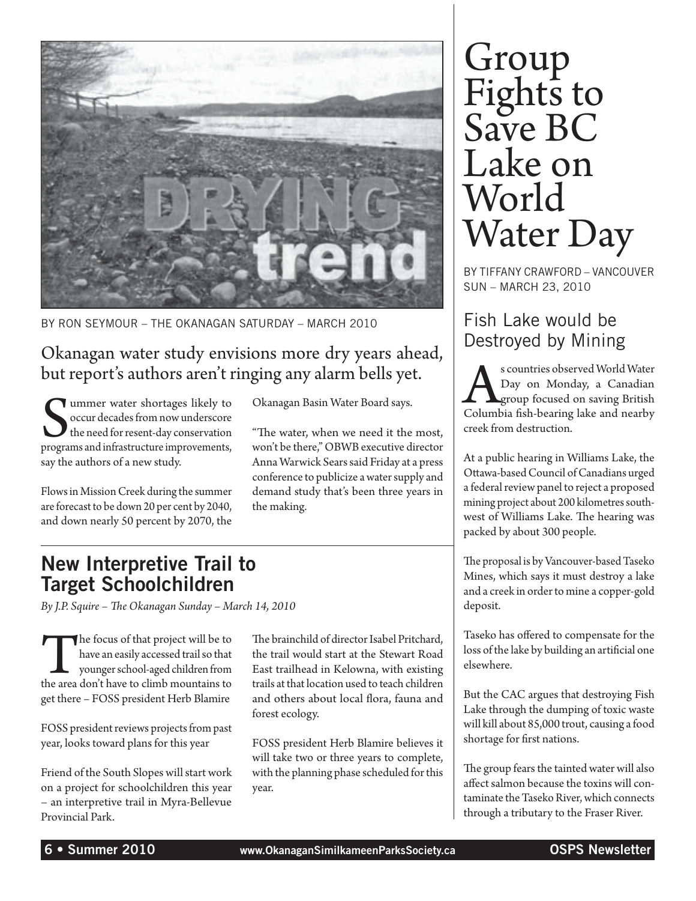

By Ron Seymour – The Okanagan Saturday – March 2010

#### Okanagan water study envisions more dry years ahead, but report's authors aren't ringing any alarm bells yet.

Summer water shortages likely to<br>
occur decades from now underscore<br>
the need for resent-day conservation<br>
programs and infrastructure improvements, ummer water shortages likely to occur decades from now underscore the need for resent-day conservation say the authors of a new study.

Flows in Mission Creek during the summer are forecast to be down 20 per cent by 2040, and down nearly 50 percent by 2070, the

Okanagan Basin Water Board says.

"The water, when we need it the most, won't be there," OBWB executive director Anna Warwick Sears said Friday at a press conference to publicize a water supply and demand study that's been three years in the making.

### New Interpretive Trail to Target Schoolchildren

*By J.P. Squire – The Okanagan Sunday – March 14, 2010*

The focus of that project will be to have an easily accessed trail so that younger school-aged children from the area don't have to climb mountains to have an easily accessed trail so that younger school-aged children from get there – FOSS president Herb Blamire

FOSS president reviews projects from past year, looks toward plans for this year

Friend of the South Slopes will start work on a project for schoolchildren this year – an interpretive trail in Myra-Bellevue Provincial Park.

The brainchild of director Isabel Pritchard, the trail would start at the Stewart Road East trailhead in Kelowna, with existing trails at that location used to teach children and others about local flora, fauna and forest ecology.

FOSS president Herb Blamire believes it will take two or three years to complete, with the planning phase scheduled for this year.

# Group Fights to Save BC Lake on World Water Day

By Tiffany Crawford – Vancouver Sun – March 23, 2010

### Fish Lake would be Destroyed by Mining

Subserved World Water<br>Day on Monday, a Canadian<br>Columbia fish-bearing lake and nearby Day on Monday, a Canadian **L**group focused on saving British creek from destruction.

At a public hearing in Williams Lake, the Ottawa-based Council of Canadians urged a federal review panel to reject a proposed mining project about 200 kilometres southwest of Williams Lake. The hearing was packed by about 300 people.

The proposal is by Vancouver-based Taseko Mines, which says it must destroy a lake and a creek in order to mine a copper-gold deposit.

Taseko has offered to compensate for the loss of the lake by building an artificial one elsewhere.

But the CAC argues that destroying Fish Lake through the dumping of toxic waste will kill about 85,000 trout, causing a food shortage for first nations.

The group fears the tainted water will also affect salmon because the toxins will contaminate the Taseko River, which connects through a tributary to the Fraser River.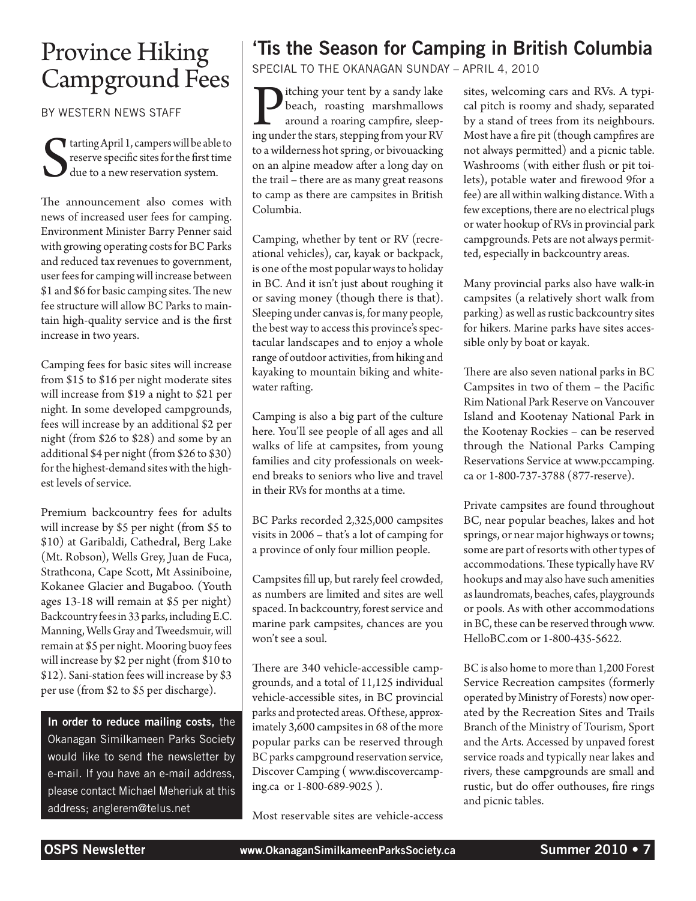### Province Hiking Campground Fees

By Western News Staff

S tarting April 1, campers will be able to reserve specific sites for the first time due to a new reservation system.

The announcement also comes with news of increased user fees for camping. Environment Minister Barry Penner said with growing operating costs for BC Parks and reduced tax revenues to government, user fees for camping will increase between \$1 and \$6 for basic camping sites. The new fee structure will allow BC Parks to maintain high-quality service and is the first increase in two years.

Camping fees for basic sites will increase from \$15 to \$16 per night moderate sites will increase from \$19 a night to \$21 per night. In some developed campgrounds, fees will increase by an additional \$2 per night (from \$26 to \$28) and some by an additional \$4 per night (from \$26 to \$30) for the highest-demand sites with the highest levels of service.

Premium backcountry fees for adults will increase by \$5 per night (from \$5 to \$10) at Garibaldi, Cathedral, Berg Lake (Mt. Robson), Wells Grey, Juan de Fuca, Strathcona, Cape Scott, Mt Assiniboine, Kokanee Glacier and Bugaboo. (Youth ages 13-18 will remain at \$5 per night) Backcountry fees in 33 parks, including E.C. Manning, Wells Gray and Tweedsmuir, will remain at \$5 per night. Mooring buoy fees will increase by \$2 per night (from \$10 to \$12). Sani-station fees will increase by \$3 per use (from \$2 to \$5 per discharge).

In order to reduce mailing costs, the Okanagan Similkameen Parks Society would like to send the newsletter by e-mail. If you have an e-mail address, please contact Michael Meheriuk at this address; anglerem@telus.net

### 'Tis the Season for Camping in British Columbia

Special to the Okanagan Sunday – April 4, 2010

**P**itching your tent by a sandy lake beach, roasting marshmallows around a roaring campfire, sleeping under the stars, stepping from your RV beach, roasting marshmallows around a roaring campfire, sleepto a wilderness hot spring, or bivouacking on an alpine meadow after a long day on the trail – there are as many great reasons to camp as there are campsites in British Columbia.

Camping, whether by tent or RV (recreational vehicles), car, kayak or backpack, is one of the most popular ways to holiday in BC. And it isn't just about roughing it or saving money (though there is that). Sleeping under canvas is, for many people, the best way to access this province's spectacular landscapes and to enjoy a whole range of outdoor activities, from hiking and kayaking to mountain biking and whitewater rafting.

Camping is also a big part of the culture here. You'll see people of all ages and all walks of life at campsites, from young families and city professionals on weekend breaks to seniors who live and travel in their RVs for months at a time.

BC Parks recorded 2,325,000 campsites visits in 2006 – that's a lot of camping for a province of only four million people.

Campsites fill up, but rarely feel crowded, as numbers are limited and sites are well spaced. In backcountry, forest service and marine park campsites, chances are you won't see a soul.

There are 340 vehicle-accessible campgrounds, and a total of 11,125 individual vehicle-accessible sites, in BC provincial parks and protected areas. Of these, approximately 3,600 campsites in 68 of the more popular parks can be reserved through BC parks campground reservation service, Discover Camping ( www.discovercamping.ca or 1-800-689-9025 ).

Most reservable sites are vehicle-access

sites, welcoming cars and RVs. A typical pitch is roomy and shady, separated by a stand of trees from its neighbours. Most have a fire pit (though campfires are not always permitted) and a picnic table. Washrooms (with either flush or pit toilets), potable water and firewood 9for a fee) are all within walking distance. With a few exceptions, there are no electrical plugs or water hookup of RVs in provincial park campgrounds. Pets are not always permitted, especially in backcountry areas.

Many provincial parks also have walk-in campsites (a relatively short walk from parking) as well as rustic backcountry sites for hikers. Marine parks have sites accessible only by boat or kayak.

There are also seven national parks in BC Campsites in two of them – the Pacific Rim National Park Reserve on Vancouver Island and Kootenay National Park in the Kootenay Rockies – can be reserved through the National Parks Camping Reservations Service at www.pccamping. ca or 1-800-737-3788 (877-reserve).

Private campsites are found throughout BC, near popular beaches, lakes and hot springs, or near major highways or towns; some are part of resorts with other types of accommodations. These typically have RV hookups and may also have such amenities as laundromats, beaches, cafes, playgrounds or pools. As with other accommodations in BC, these can be reserved through www. HelloBC.com or 1-800-435-5622.

BC is also home to more than 1,200 Forest Service Recreation campsites (formerly operated by Ministry of Forests) now operated by the Recreation Sites and Trails Branch of the Ministry of Tourism, Sport and the Arts. Accessed by unpaved forest service roads and typically near lakes and rivers, these campgrounds are small and rustic, but do offer outhouses, fire rings and picnic tables.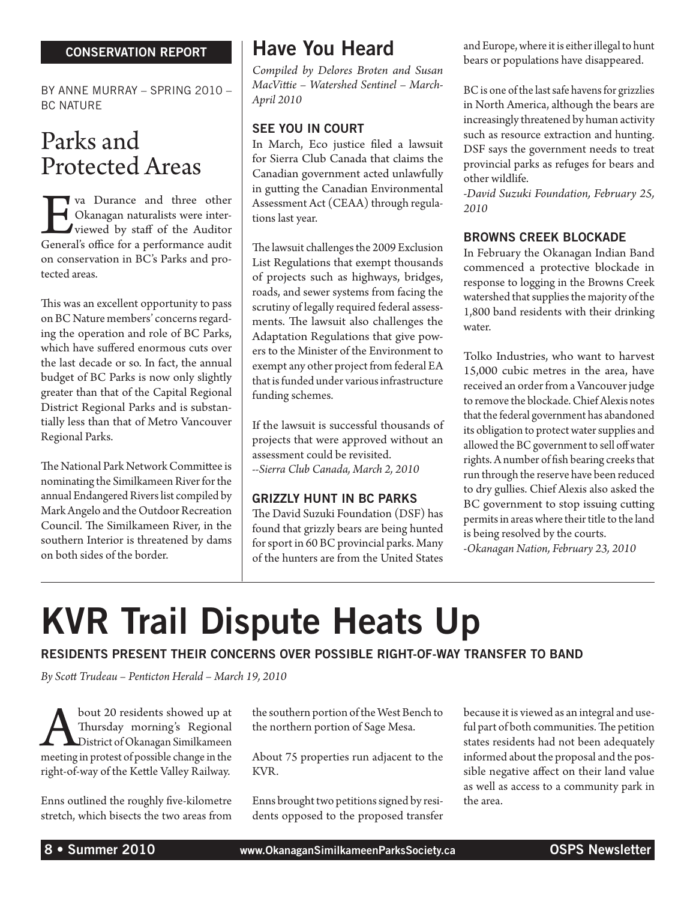#### CONSERVATION REPORT

By Anne Murray – Spring 2010 – **BC NATURE** 

### Parks and Protected Areas

Eva Durance and three other General's office for a performance audit Okanagan naturalists were interviewed by staff of the Auditor on conservation in BC's Parks and protected areas.

This was an excellent opportunity to pass on BC Nature members' concerns regarding the operation and role of BC Parks, which have suffered enormous cuts over the last decade or so. In fact, the annual budget of BC Parks is now only slightly greater than that of the Capital Regional District Regional Parks and is substantially less than that of Metro Vancouver Regional Parks.

The National Park Network Committee is nominating the Similkameen River for the annual Endangered Rivers list compiled by Mark Angelo and the Outdoor Recreation Council. The Similkameen River, in the southern Interior is threatened by dams on both sides of the border.

#### Have You Heard

*Compiled by Delores Broten and Susan MacVittie – Watershed Sentinel – March-April 2010*

#### See You in Court

In March, Eco justice filed a lawsuit for Sierra Club Canada that claims the Canadian government acted unlawfully in gutting the Canadian Environmental Assessment Act (CEAA) through regulations last year.

The lawsuit challenges the 2009 Exclusion List Regulations that exempt thousands of projects such as highways, bridges, roads, and sewer systems from facing the scrutiny of legally required federal assessments. The lawsuit also challenges the Adaptation Regulations that give powers to the Minister of the Environment to exempt any other project from federal EA that is funded under various infrastructure funding schemes.

If the lawsuit is successful thousands of projects that were approved without an assessment could be revisited. *--Sierra Club Canada, March 2, 2010*

#### Grizzly Hunt in BC Parks

The David Suzuki Foundation (DSF) has found that grizzly bears are being hunted for sport in 60 BC provincial parks. Many of the hunters are from the United States and Europe, where it is either illegal to hunt bears or populations have disappeared.

BC is one of the last safe havens for grizzlies in North America, although the bears are increasingly threatened by human activity such as resource extraction and hunting. DSF says the government needs to treat provincial parks as refuges for bears and other wildlife.

*-David Suzuki Foundation, February 25, 2010*

#### Browns Creek Blockade

In February the Okanagan Indian Band commenced a protective blockade in response to logging in the Browns Creek watershed that supplies the majority of the 1,800 band residents with their drinking water.

Tolko Industries, who want to harvest 15,000 cubic metres in the area, have received an order from a Vancouver judge to remove the blockade. Chief Alexis notes that the federal government has abandoned its obligation to protect water supplies and allowed the BC government to sell off water rights. A number of fish bearing creeks that run through the reserve have been reduced to dry gullies. Chief Alexis also asked the BC government to stop issuing cutting permits in areas where their title to the land is being resolved by the courts.

*-Okanagan Nation, February 23, 2010*

# KVR Trail Dispute Heats Up

#### Residents present their concerns over possible right-of-way transfer to band

*By Scott Trudeau – Penticton Herald – March 19, 2010*

bout 20 residents showed up at<br>Thursday morning's Regional<br>District of Okanagan Similkameen<br>meeting in protest of possible change in the Thursday morning's Regional District of Okanagan Similkameen meeting in protest of possible change in the right-of-way of the Kettle Valley Railway.

Enns outlined the roughly five-kilometre stretch, which bisects the two areas from the southern portion of the West Bench to the northern portion of Sage Mesa.

About 75 properties run adjacent to the KVR.

Enns brought two petitions signed by residents opposed to the proposed transfer because it is viewed as an integral and useful part of both communities. The petition states residents had not been adequately informed about the proposal and the possible negative affect on their land value as well as access to a community park in the area.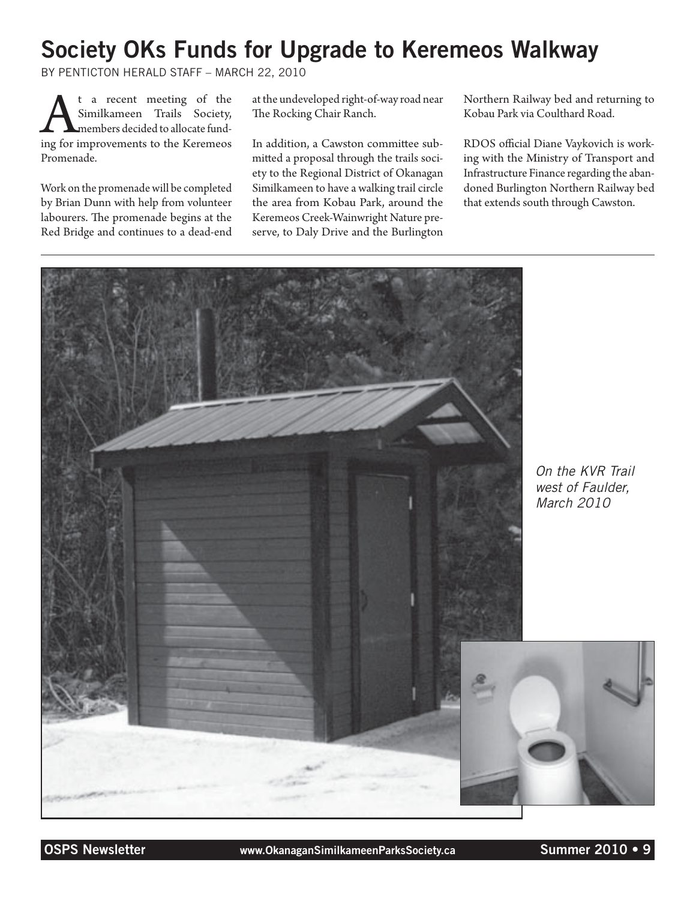### Society OKs Funds for Upgrade to Keremeos Walkway

By Penticton Herald Staff – March 22, 2010

**A**t a recent meeting of the Similkameen Trails Society, members decided to allocate funding for improvements to the Keremeos Similkameen Trails Society, members decided to allocate fund-Promenade.

Work on the promenade will be completed by Brian Dunn with help from volunteer labourers. The promenade begins at the Red Bridge and continues to a dead-end

at the undeveloped right-of-way road near The Rocking Chair Ranch.

In addition, a Cawston committee submitted a proposal through the trails society to the Regional District of Okanagan Similkameen to have a walking trail circle the area from Kobau Park, around the Keremeos Creek-Wainwright Nature preserve, to Daly Drive and the Burlington Northern Railway bed and returning to Kobau Park via Coulthard Road.

RDOS official Diane Vaykovich is working with the Ministry of Transport and Infrastructure Finance regarding the abandoned Burlington Northern Railway bed that extends south through Cawston.